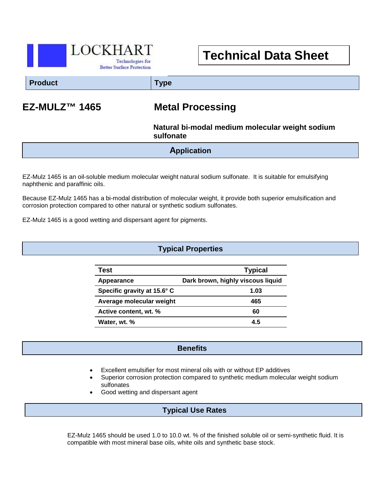

# **Technical Data Sheet**

**Product Type**

# **EZ-MULZ™ 1465 Metal Processing**

### **Natural bi-modal medium molecular weight sodium sulfonate**

**Application**

EZ-Mulz 1465 is an oil-soluble medium molecular weight natural sodium sulfonate. It is suitable for emulsifying naphthenic and paraffinic oils.

Because EZ-Mulz 1465 has a bi-modal distribution of molecular weight, it provide both superior emulsification and corrosion protection compared to other natural or synthetic sodium sulfonates.

EZ-Mulz 1465 is a good wetting and dispersant agent for pigments.

#### **Typical Properties**

| Test                        | <b>Typical</b>                    |
|-----------------------------|-----------------------------------|
| Appearance                  | Dark brown, highly viscous liquid |
| Specific gravity at 15.6° C | 1.03                              |
| Average molecular weight    | 465                               |
| Active content, wt. %       | 60                                |
| Water, wt. %                | 4.5                               |

#### **Benefits**

- Excellent emulsifier for most mineral oils with or without EP additives
- Superior corrosion protection compared to synthetic medium molecular weight sodium sulfonates
- Good wetting and dispersant agent

 $\overline{a}$ 

### **Typical Use Rates**

EZ-Mulz 1465 should be used 1.0 to 10.0 wt. % of the finished soluble oil or semi-synthetic fluid. It is compatible with most mineral base oils, white oils and synthetic base stock.